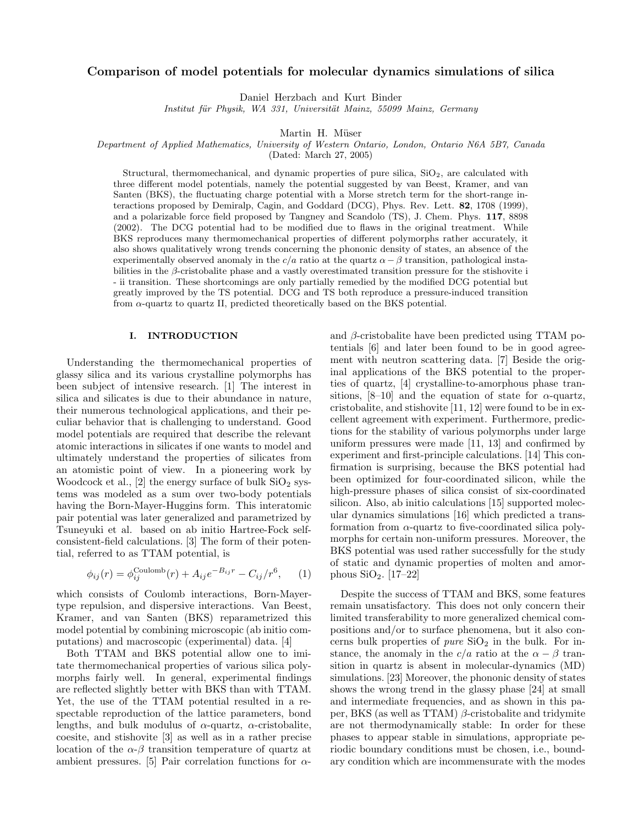# Comparison of model potentials for molecular dynamics simulations of silica

Daniel Herzbach and Kurt Binder

Institut für Physik, WA 331, Universität Mainz, 55099 Mainz, Germany

Martin H. Müser

Department of Applied Mathematics, University of Western Ontario, London, Ontario N6A 5B7, Canada

(Dated: March 27, 2005)

Structural, thermomechanical, and dynamic properties of pure silica,  $SiO<sub>2</sub>$ , are calculated with three different model potentials, namely the potential suggested by van Beest, Kramer, and van Santen (BKS), the fluctuating charge potential with a Morse stretch term for the short-range interactions proposed by Demiralp, Cagin, and Goddard (DCG), Phys. Rev. Lett. 82, 1708 (1999), and a polarizable force field proposed by Tangney and Scandolo (TS), J. Chem. Phys. 117, 8898 (2002). The DCG potential had to be modified due to flaws in the original treatment. While BKS reproduces many thermomechanical properties of different polymorphs rather accurately, it also shows qualitatively wrong trends concerning the phononic density of states, an absence of the experimentally observed anomaly in the c/a ratio at the quartz  $\alpha - \beta$  transition, pathological instabilities in the  $\beta$ -cristobalite phase and a vastly overestimated transition pressure for the stishovite i - ii transition. These shortcomings are only partially remedied by the modified DCG potential but greatly improved by the TS potential. DCG and TS both reproduce a pressure-induced transition from  $\alpha$ -quartz to quartz II, predicted theoretically based on the BKS potential.

## I. INTRODUCTION

Understanding the thermomechanical properties of glassy silica and its various crystalline polymorphs has been subject of intensive research. [1] The interest in silica and silicates is due to their abundance in nature, their numerous technological applications, and their peculiar behavior that is challenging to understand. Good model potentials are required that describe the relevant atomic interactions in silicates if one wants to model and ultimately understand the properties of silicates from an atomistic point of view. In a pioneering work by Woodcock et al., [2] the energy surface of bulk  $SiO<sub>2</sub>$  systems was modeled as a sum over two-body potentials having the Born-Mayer-Huggins form. This interatomic pair potential was later generalized and parametrized by Tsuneyuki et al. based on ab initio Hartree-Fock selfconsistent-field calculations. [3] The form of their potential, referred to as TTAM potential, is

$$
\phi_{ij}(r) = \phi_{ij}^{\text{Coulomb}}(r) + A_{ij}e^{-B_{ij}r} - C_{ij}/r^6, \qquad (1)
$$

which consists of Coulomb interactions, Born-Mayertype repulsion, and dispersive interactions. Van Beest, Kramer, and van Santen (BKS) reparametrized this model potential by combining microscopic (ab initio computations) and macroscopic (experimental) data. [4]

Both TTAM and BKS potential allow one to imitate thermomechanical properties of various silica polymorphs fairly well. In general, experimental findings are reflected slightly better with BKS than with TTAM. Yet, the use of the TTAM potential resulted in a respectable reproduction of the lattice parameters, bond lengths, and bulk modulus of  $\alpha$ -quartz,  $\alpha$ -cristobalite, coesite, and stishovite [3] as well as in a rather precise location of the  $\alpha$ - $\beta$  transition temperature of quartz at ambient pressures. [5] Pair correlation functions for  $\alpha$ - and  $\beta$ -cristobalite have been predicted using TTAM potentials [6] and later been found to be in good agreement with neutron scattering data. [7] Beside the original applications of the BKS potential to the properties of quartz, [4] crystalline-to-amorphous phase transitions,  $[8-10]$  and the equation of state for  $\alpha$ -quartz, cristobalite, and stishovite [11, 12] were found to be in excellent agreement with experiment. Furthermore, predictions for the stability of various polymorphs under large uniform pressures were made [11, 13] and confirmed by experiment and first-principle calculations. [14] This confirmation is surprising, because the BKS potential had been optimized for four-coordinated silicon, while the high-pressure phases of silica consist of six-coordinated silicon. Also, ab initio calculations [15] supported molecular dynamics simulations [16] which predicted a transformation from  $\alpha$ -quartz to five-coordinated silica polymorphs for certain non-uniform pressures. Moreover, the BKS potential was used rather successfully for the study of static and dynamic properties of molten and amorphous  $SiO<sub>2</sub>$ . [17–22]

Despite the success of TTAM and BKS, some features remain unsatisfactory. This does not only concern their limited transferability to more generalized chemical compositions and/or to surface phenomena, but it also concerns bulk properties of *pure*  $SiO<sub>2</sub>$  in the bulk. For instance, the anomaly in the  $c/a$  ratio at the  $\alpha - \beta$  transition in quartz is absent in molecular-dynamics (MD) simulations. [23] Moreover, the phononic density of states shows the wrong trend in the glassy phase [24] at small and intermediate frequencies, and as shown in this paper, BKS (as well as TTAM)  $\beta$ -cristobalite and tridymite are not thermodynamically stable: In order for these phases to appear stable in simulations, appropriate periodic boundary conditions must be chosen, i.e., boundary condition which are incommensurate with the modes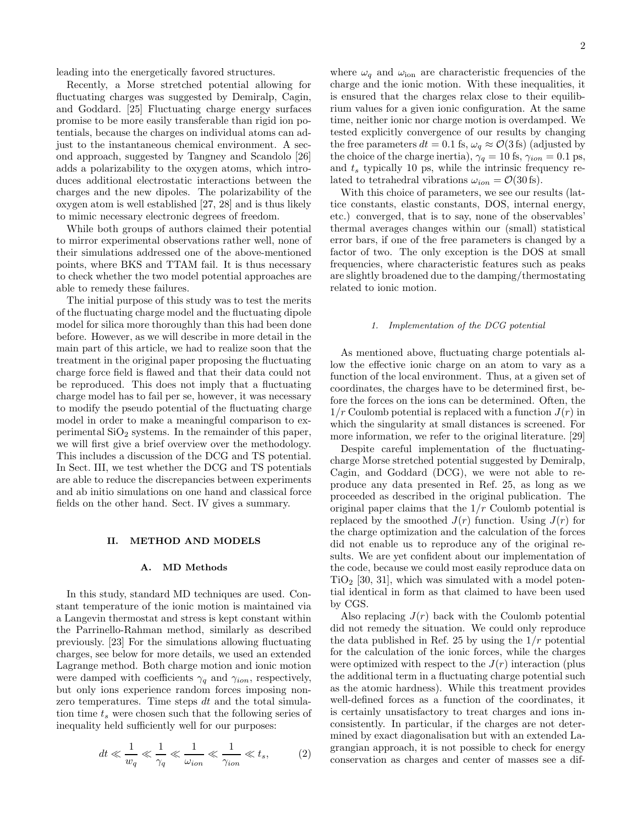leading into the energetically favored structures.

Recently, a Morse stretched potential allowing for fluctuating charges was suggested by Demiralp, Cagin, and Goddard. [25] Fluctuating charge energy surfaces promise to be more easily transferable than rigid ion potentials, because the charges on individual atoms can adjust to the instantaneous chemical environment. A second approach, suggested by Tangney and Scandolo [26] adds a polarizability to the oxygen atoms, which introduces additional electrostatic interactions between the charges and the new dipoles. The polarizability of the oxygen atom is well established [27, 28] and is thus likely to mimic necessary electronic degrees of freedom.

While both groups of authors claimed their potential to mirror experimental observations rather well, none of their simulations addressed one of the above-mentioned points, where BKS and TTAM fail. It is thus necessary to check whether the two model potential approaches are able to remedy these failures.

The initial purpose of this study was to test the merits of the fluctuating charge model and the fluctuating dipole model for silica more thoroughly than this had been done before. However, as we will describe in more detail in the main part of this article, we had to realize soon that the treatment in the original paper proposing the fluctuating charge force field is flawed and that their data could not be reproduced. This does not imply that a fluctuating charge model has to fail per se, however, it was necessary to modify the pseudo potential of the fluctuating charge model in order to make a meaningful comparison to experimental  $SiO<sub>2</sub>$  systems. In the remainder of this paper, we will first give a brief overview over the methodology. This includes a discussion of the DCG and TS potential. In Sect. III, we test whether the DCG and TS potentials are able to reduce the discrepancies between experiments and ab initio simulations on one hand and classical force fields on the other hand. Sect. IV gives a summary.

## II. METHOD AND MODELS

## A. MD Methods

In this study, standard MD techniques are used. Constant temperature of the ionic motion is maintained via a Langevin thermostat and stress is kept constant within the Parrinello-Rahman method, similarly as described previously. [23] For the simulations allowing fluctuating charges, see below for more details, we used an extended Lagrange method. Both charge motion and ionic motion were damped with coefficients  $\gamma_q$  and  $\gamma_{ion}$ , respectively, but only ions experience random forces imposing nonzero temperatures. Time steps dt and the total simulation time  $t_s$  were chosen such that the following series of inequality held sufficiently well for our purposes:

$$
dt \ll \frac{1}{w_q} \ll \frac{1}{\gamma_q} \ll \frac{1}{\omega_{ion}} \ll \frac{1}{\gamma_{ion}} \ll t_s,
$$
 (2)

where  $\omega_q$  and  $\omega_{\text{ion}}$  are characteristic frequencies of the charge and the ionic motion. With these inequalities, it is ensured that the charges relax close to their equilibrium values for a given ionic configuration. At the same time, neither ionic nor charge motion is overdamped. We tested explicitly convergence of our results by changing the free parameters  $dt = 0.1$  fs,  $\omega_q \approx \mathcal{O}(3 \text{ fs})$  (adjusted by the choice of the charge inertia),  $\gamma_q = 10$  fs,  $\gamma_{ion} = 0.1$  ps, and  $t_s$  typically 10 ps, while the intrinsic frequency related to tetrahedral vibrations  $\omega_{ion} = \mathcal{O}(30 \text{ fs}).$ 

With this choice of parameters, we see our results (lattice constants, elastic constants, DOS, internal energy, etc.) converged, that is to say, none of the observables' thermal averages changes within our (small) statistical error bars, if one of the free parameters is changed by a factor of two. The only exception is the DOS at small frequencies, where characteristic features such as peaks are slightly broadened due to the damping/thermostating related to ionic motion.

## 1. Implementation of the DCG potential

As mentioned above, fluctuating charge potentials allow the effective ionic charge on an atom to vary as a function of the local environment. Thus, at a given set of coordinates, the charges have to be determined first, before the forces on the ions can be determined. Often, the  $1/r$  Coulomb potential is replaced with a function  $J(r)$  in which the singularity at small distances is screened. For more information, we refer to the original literature. [29]

Despite careful implementation of the fluctuatingcharge Morse stretched potential suggested by Demiralp, Cagin, and Goddard (DCG), we were not able to reproduce any data presented in Ref. 25, as long as we proceeded as described in the original publication. The original paper claims that the  $1/r$  Coulomb potential is replaced by the smoothed  $J(r)$  function. Using  $J(r)$  for the charge optimization and the calculation of the forces did not enable us to reproduce any of the original results. We are yet confident about our implementation of the code, because we could most easily reproduce data on  $TiO<sub>2</sub>$  [30, 31], which was simulated with a model potential identical in form as that claimed to have been used by CGS.

Also replacing  $J(r)$  back with the Coulomb potential did not remedy the situation. We could only reproduce the data published in Ref. 25 by using the  $1/r$  potential for the calculation of the ionic forces, while the charges were optimized with respect to the  $J(r)$  interaction (plus the additional term in a fluctuating charge potential such as the atomic hardness). While this treatment provides well-defined forces as a function of the coordinates, it is certainly unsatisfactory to treat charges and ions inconsistently. In particular, if the charges are not determined by exact diagonalisation but with an extended Lagrangian approach, it is not possible to check for energy conservation as charges and center of masses see a dif-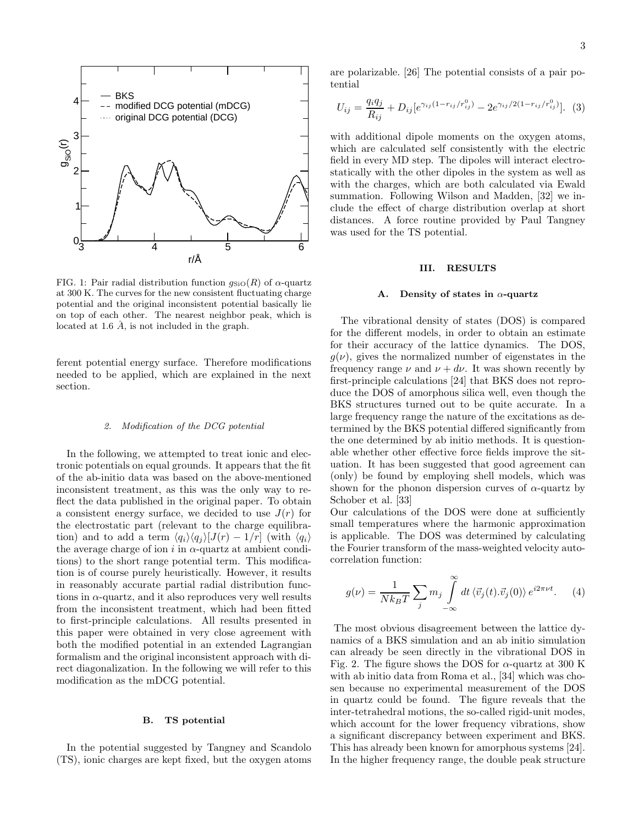

FIG. 1: Pair radial distribution function  $g_{\text{SiO}}(R)$  of  $\alpha$ -quartz at 300 K. The curves for the new consistent fluctuating charge potential and the original inconsistent potential basically lie on top of each other. The nearest neighbor peak, which is located at 1.6  $\AA$ , is not included in the graph.

ferent potential energy surface. Therefore modifications needed to be applied, which are explained in the next section.

#### 2. Modification of the DCG potential

In the following, we attempted to treat ionic and electronic potentials on equal grounds. It appears that the fit of the ab-initio data was based on the above-mentioned inconsistent treatment, as this was the only way to reflect the data published in the original paper. To obtain a consistent energy surface, we decided to use  $J(r)$  for the electrostatic part (relevant to the charge equilibration) and to add a term  $\langle q_i \rangle \langle q_j \rangle [J(r) - 1/r]$  (with  $\langle q_i \rangle$ the average charge of ion i in  $\alpha$ -quartz at ambient conditions) to the short range potential term. This modification is of course purely heuristically. However, it results in reasonably accurate partial radial distribution functions in  $\alpha$ -quartz, and it also reproduces very well results from the inconsistent treatment, which had been fitted to first-principle calculations. All results presented in this paper were obtained in very close agreement with both the modified potential in an extended Lagrangian formalism and the original inconsistent approach with direct diagonalization. In the following we will refer to this modification as the mDCG potential.

## B. TS potential

In the potential suggested by Tangney and Scandolo (TS), ionic charges are kept fixed, but the oxygen atoms are polarizable. [26] The potential consists of a pair potential

$$
U_{ij} = \frac{q_i q_j}{R_{ij}} + D_{ij} [e^{\gamma_{ij}(1 - r_{ij}/r_{ij}^0)} - 2e^{\gamma_{ij}/2(1 - r_{ij}/r_{ij}^0)}].
$$
 (3)

with additional dipole moments on the oxygen atoms, which are calculated self consistently with the electric field in every MD step. The dipoles will interact electrostatically with the other dipoles in the system as well as with the charges, which are both calculated via Ewald summation. Following Wilson and Madden, [32] we include the effect of charge distribution overlap at short distances. A force routine provided by Paul Tangney was used for the TS potential.

## III. RESULTS

#### A. Density of states in  $\alpha$ -quartz

The vibrational density of states (DOS) is compared for the different models, in order to obtain an estimate for their accuracy of the lattice dynamics. The DOS,  $g(\nu)$ , gives the normalized number of eigenstates in the frequency range  $\nu$  and  $\nu + d\nu$ . It was shown recently by first-principle calculations [24] that BKS does not reproduce the DOS of amorphous silica well, even though the BKS structures turned out to be quite accurate. In a large frequency range the nature of the excitations as determined by the BKS potential differed significantly from the one determined by ab initio methods. It is questionable whether other effective force fields improve the situation. It has been suggested that good agreement can (only) be found by employing shell models, which was shown for the phonon dispersion curves of  $\alpha$ -quartz by Schober et al. [33]

Our calculations of the DOS were done at sufficiently small temperatures where the harmonic approximation is applicable. The DOS was determined by calculating the Fourier transform of the mass-weighted velocity autocorrelation function:

$$
g(\nu) = \frac{1}{Nk_B T} \sum_j m_j \int_{-\infty}^{\infty} dt \langle \vec{v}_j(t) . \vec{v}_j(0) \rangle e^{i2\pi \nu t}.
$$
 (4)

The most obvious disagreement between the lattice dynamics of a BKS simulation and an ab initio simulation can already be seen directly in the vibrational DOS in Fig. 2. The figure shows the DOS for  $\alpha$ -quartz at 300 K with ab initio data from Roma et al., [34] which was chosen because no experimental measurement of the DOS in quartz could be found. The figure reveals that the inter-tetrahedral motions, the so-called rigid-unit modes, which account for the lower frequency vibrations, show a significant discrepancy between experiment and BKS. This has already been known for amorphous systems [24]. In the higher frequency range, the double peak structure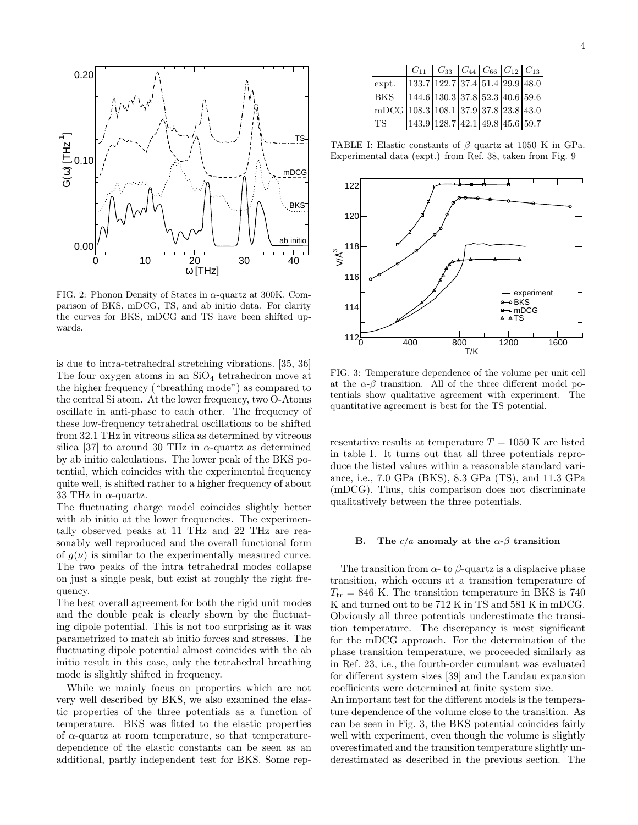

FIG. 2: Phonon Density of States in  $\alpha$ -quartz at 300K. Comparison of BKS, mDCG, TS, and ab initio data. For clarity the curves for BKS, mDCG and TS have been shifted upwards.

is due to intra-tetrahedral stretching vibrations. [35, 36] The four oxygen atoms in an  $SiO<sub>4</sub>$  tetrahedron move at the higher frequency ("breathing mode") as compared to the central Si atom. At the lower frequency, two O-Atoms oscillate in anti-phase to each other. The frequency of these low-frequency tetrahedral oscillations to be shifted from 32.1 THz in vitreous silica as determined by vitreous silica [37] to around 30 THz in  $\alpha$ -quartz as determined by ab initio calculations. The lower peak of the BKS potential, which coincides with the experimental frequency quite well, is shifted rather to a higher frequency of about 33 THz in  $\alpha$ -quartz.

The fluctuating charge model coincides slightly better with ab initio at the lower frequencies. The experimentally observed peaks at 11 THz and 22 THz are reasonably well reproduced and the overall functional form of  $g(\nu)$  is similar to the experimentally measured curve. The two peaks of the intra tetrahedral modes collapse on just a single peak, but exist at roughly the right frequency.

The best overall agreement for both the rigid unit modes and the double peak is clearly shown by the fluctuating dipole potential. This is not too surprising as it was parametrized to match ab initio forces and stresses. The fluctuating dipole potential almost coincides with the ab initio result in this case, only the tetrahedral breathing mode is slightly shifted in frequency.

While we mainly focus on properties which are not very well described by BKS, we also examined the elastic properties of the three potentials as a function of temperature. BKS was fitted to the elastic properties of  $\alpha$ -quartz at room temperature, so that temperaturedependence of the elastic constants can be seen as an additional, partly independent test for BKS. Some rep-

|                                         |                                   | $C_{11}$ $C_{33}$ $C_{44}$ $C_{66}$ $C_{12}$ $C_{13}$ |  |  |
|-----------------------------------------|-----------------------------------|-------------------------------------------------------|--|--|
| expt.                                   | 133.7 122.7 37.4 51.4 29.9 48.0   |                                                       |  |  |
| <b>BKS</b>                              | $144.6$ 130.3 37.8 52.3 40.6 59.6 |                                                       |  |  |
| $mDCG$  108.3 108.1 37.9 37.8 23.8 43.0 |                                   |                                                       |  |  |
| TS.                                     | 143.9 128.7 42.1 49.8 45.6 59.7   |                                                       |  |  |

TABLE I: Elastic constants of  $\beta$  quartz at 1050 K in GPa. Experimental data (expt.) from Ref. 38, taken from Fig. 9



FIG. 3: Temperature dependence of the volume per unit cell at the  $\alpha$ - $\beta$  transition. All of the three different model potentials show qualitative agreement with experiment. The quantitative agreement is best for the TS potential.

resentative results at temperature  $T = 1050$  K are listed in table I. It turns out that all three potentials reproduce the listed values within a reasonable standard variance, i.e., 7.0 GPa (BKS), 8.3 GPa (TS), and 11.3 GPa (mDCG). Thus, this comparison does not discriminate qualitatively between the three potentials.

## B. The  $c/a$  anomaly at the  $\alpha-\beta$  transition

The transition from  $\alpha$ - to  $\beta$ -quartz is a displacive phase transition, which occurs at a transition temperature of  $T_{tr}$  = 846 K. The transition temperature in BKS is 740 K and turned out to be 712 K in TS and 581 K in mDCG. Obviously all three potentials underestimate the transition temperature. The discrepancy is most significant for the mDCG approach. For the determination of the phase transition temperature, we proceeded similarly as in Ref. 23, i.e., the fourth-order cumulant was evaluated for different system sizes [39] and the Landau expansion coefficients were determined at finite system size.

An important test for the different models is the temperature dependence of the volume close to the transition. As can be seen in Fig. 3, the BKS potential coincides fairly well with experiment, even though the volume is slightly overestimated and the transition temperature slightly underestimated as described in the previous section. The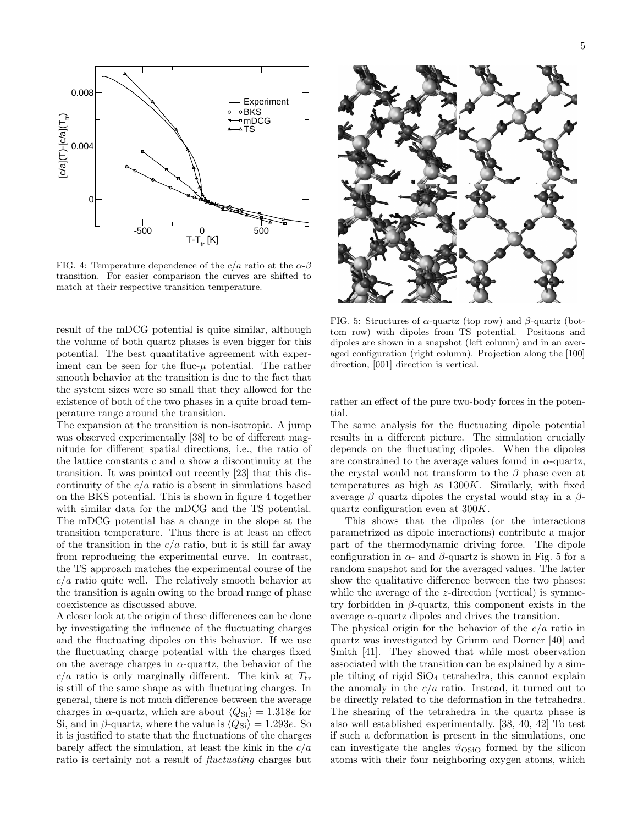

FIG. 4: Temperature dependence of the  $c/a$  ratio at the  $\alpha-\beta$ transition. For easier comparison the curves are shifted to match at their respective transition temperature.

result of the mDCG potential is quite similar, although the volume of both quartz phases is even bigger for this potential. The best quantitative agreement with experiment can be seen for the fluc- $\mu$  potential. The rather smooth behavior at the transition is due to the fact that the system sizes were so small that they allowed for the existence of both of the two phases in a quite broad temperature range around the transition.

The expansion at the transition is non-isotropic. A jump was observed experimentally [38] to be of different magnitude for different spatial directions, i.e., the ratio of the lattice constants  $c$  and  $a$  show a discontinuity at the transition. It was pointed out recently [23] that this discontinuity of the  $c/a$  ratio is absent in simulations based on the BKS potential. This is shown in figure 4 together with similar data for the mDCG and the TS potential. The mDCG potential has a change in the slope at the transition temperature. Thus there is at least an effect of the transition in the  $c/a$  ratio, but it is still far away from reproducing the experimental curve. In contrast, the TS approach matches the experimental course of the  $c/a$  ratio quite well. The relatively smooth behavior at the transition is again owing to the broad range of phase coexistence as discussed above.

A closer look at the origin of these differences can be done by investigating the influence of the fluctuating charges and the fluctuating dipoles on this behavior. If we use the fluctuating charge potential with the charges fixed on the average charges in  $\alpha$ -quartz, the behavior of the  $c/a$  ratio is only marginally different. The kink at  $T_{tr}$ is still of the same shape as with fluctuating charges. In general, there is not much difference between the average charges in  $\alpha$ -quartz, which are about  $\langle Q_{\rm Si} \rangle = 1.318e$  for Si, and in  $\beta$ -quartz, where the value is  $\langle Q_{\rm Si} \rangle = 1.293e$ . So it is justified to state that the fluctuations of the charges barely affect the simulation, at least the kink in the  $c/a$ ratio is certainly not a result of fluctuating charges but



FIG. 5: Structures of  $\alpha$ -quartz (top row) and  $\beta$ -quartz (bottom row) with dipoles from TS potential. Positions and dipoles are shown in a snapshot (left column) and in an averaged configuration (right column). Projection along the [100] direction, [001] direction is vertical.

rather an effect of the pure two-body forces in the potential.

The same analysis for the fluctuating dipole potential results in a different picture. The simulation crucially depends on the fluctuating dipoles. When the dipoles are constrained to the average values found in  $\alpha$ -quartz, the crystal would not transform to the  $\beta$  phase even at temperatures as high as 1300K. Similarly, with fixed average  $\beta$  quartz dipoles the crystal would stay in a  $\beta$ quartz configuration even at 300K.

This shows that the dipoles (or the interactions parametrized as dipole interactions) contribute a major part of the thermodynamic driving force. The dipole configuration in  $\alpha$ - and  $\beta$ -quartz is shown in Fig. 5 for a random snapshot and for the averaged values. The latter show the qualitative difference between the two phases: while the average of the z-direction (vertical) is symmetry forbidden in  $\beta$ -quartz, this component exists in the average  $\alpha$ -quartz dipoles and drives the transition.

The physical origin for the behavior of the  $c/a$  ratio in quartz was investigated by Grimm and Dorner [40] and Smith [41]. They showed that while most observation associated with the transition can be explained by a simple tilting of rigid  $SiO<sub>4</sub>$  tetrahedra, this cannot explain the anomaly in the  $c/a$  ratio. Instead, it turned out to be directly related to the deformation in the tetrahedra. The shearing of the tetrahedra in the quartz phase is also well established experimentally. [38, 40, 42] To test if such a deformation is present in the simulations, one can investigate the angles  $\vartheta_{\text{OSiO}}$  formed by the silicon atoms with their four neighboring oxygen atoms, which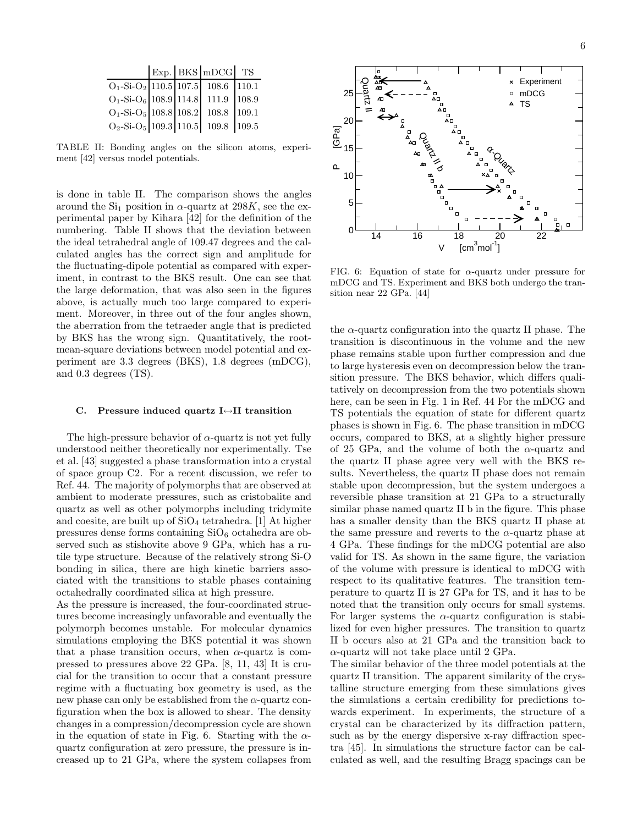|                                      |  | $\mathbb{E}\exp\left\{\left \frac{\text{BKS}}{\text{mDCG}}\right \right\}$ TS |  |
|--------------------------------------|--|-------------------------------------------------------------------------------|--|
| $O_1-Si-O_2$ 110.5 107.5 108.6 110.1 |  |                                                                               |  |
| $O_1-Si-O_6$ 108.9 114.8 111.9 108.9 |  |                                                                               |  |
| $O_1-Si-O_5$ 108.8 108.2 108.8 109.1 |  |                                                                               |  |
| $O_2-Si-O_5$ 109.3 110.5 109.8 109.5 |  |                                                                               |  |

TABLE II: Bonding angles on the silicon atoms, experiment [42] versus model potentials.

is done in table II. The comparison shows the angles around the  $Si<sub>1</sub>$  position in  $\alpha$ -quartz at 298K, see the experimental paper by Kihara [42] for the definition of the numbering. Table II shows that the deviation between the ideal tetrahedral angle of 109.47 degrees and the calculated angles has the correct sign and amplitude for the fluctuating-dipole potential as compared with experiment, in contrast to the BKS result. One can see that the large deformation, that was also seen in the figures above, is actually much too large compared to experiment. Moreover, in three out of the four angles shown, the aberration from the tetraeder angle that is predicted by BKS has the wrong sign. Quantitatively, the rootmean-square deviations between model potential and experiment are 3.3 degrees (BKS), 1.8 degrees (mDCG), and 0.3 degrees (TS).

## C. Pressure induced quartz  $I \rightarrow II$  transition

The high-pressure behavior of  $\alpha$ -quartz is not yet fully understood neither theoretically nor experimentally. Tse et al. [43] suggested a phase transformation into a crystal of space group C2. For a recent discussion, we refer to Ref. 44. The majority of polymorphs that are observed at ambient to moderate pressures, such as cristobalite and quartz as well as other polymorphs including tridymite and coesite, are built up of  $SiO<sub>4</sub>$  tetrahedra. [1] At higher pressures dense forms containing  $SiO<sub>6</sub>$  octahedra are observed such as stishovite above 9 GPa, which has a rutile type structure. Because of the relatively strong Si-O bonding in silica, there are high kinetic barriers associated with the transitions to stable phases containing octahedrally coordinated silica at high pressure.

As the pressure is increased, the four-coordinated structures become increasingly unfavorable and eventually the polymorph becomes unstable. For molecular dynamics simulations employing the BKS potential it was shown that a phase transition occurs, when  $\alpha$ -quartz is compressed to pressures above 22 GPa. [8, 11, 43] It is crucial for the transition to occur that a constant pressure regime with a fluctuating box geometry is used, as the new phase can only be established from the  $\alpha$ -quartz configuration when the box is allowed to shear. The density changes in a compression/decompression cycle are shown in the equation of state in Fig. 6. Starting with the  $\alpha$ quartz configuration at zero pressure, the pressure is increased up to 21 GPa, where the system collapses from



FIG. 6: Equation of state for  $\alpha$ -quartz under pressure for mDCG and TS. Experiment and BKS both undergo the transition near 22 GPa. [44]

the  $\alpha$ -quartz configuration into the quartz II phase. The transition is discontinuous in the volume and the new phase remains stable upon further compression and due to large hysteresis even on decompression below the transition pressure. The BKS behavior, which differs qualitatively on decompression from the two potentials shown here, can be seen in Fig. 1 in Ref. 44 For the mDCG and TS potentials the equation of state for different quartz phases is shown in Fig. 6. The phase transition in mDCG occurs, compared to BKS, at a slightly higher pressure of 25 GPa, and the volume of both the  $\alpha$ -quartz and the quartz II phase agree very well with the BKS results. Nevertheless, the quartz II phase does not remain stable upon decompression, but the system undergoes a reversible phase transition at 21 GPa to a structurally similar phase named quartz II b in the figure. This phase has a smaller density than the BKS quartz II phase at the same pressure and reverts to the  $\alpha$ -quartz phase at 4 GPa. These findings for the mDCG potential are also valid for TS. As shown in the same figure, the variation of the volume with pressure is identical to mDCG with respect to its qualitative features. The transition temperature to quartz II is 27 GPa for TS, and it has to be noted that the transition only occurs for small systems. For larger systems the  $\alpha$ -quartz configuration is stabilized for even higher pressures. The transition to quartz II b occurs also at 21 GPa and the transition back to  $\alpha$ -quartz will not take place until 2 GPa.

The similar behavior of the three model potentials at the quartz II transition. The apparent similarity of the crystalline structure emerging from these simulations gives the simulations a certain credibility for predictions towards experiment. In experiments, the structure of a crystal can be characterized by its diffraction pattern, such as by the energy dispersive x-ray diffraction spectra [45]. In simulations the structure factor can be calculated as well, and the resulting Bragg spacings can be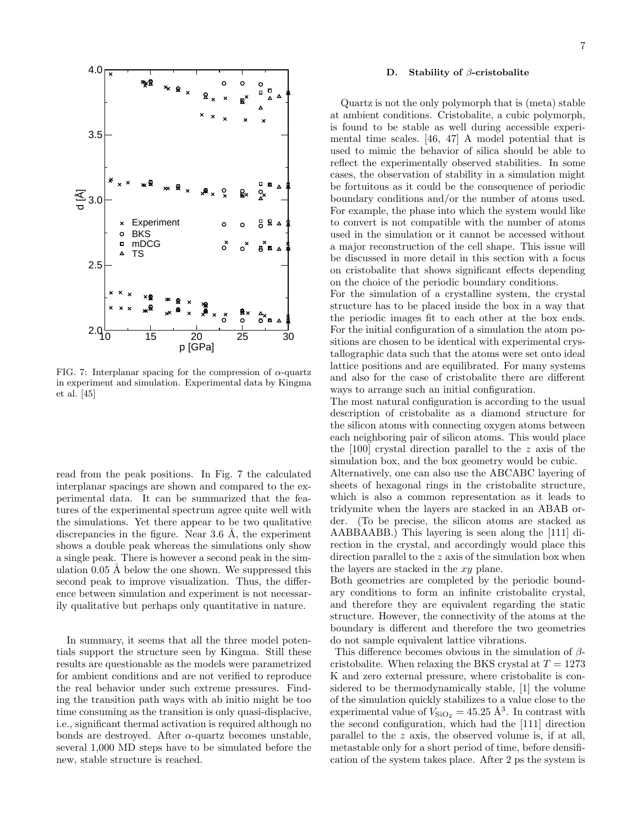

FIG. 7: Interplanar spacing for the compression of  $\alpha$ -quartz in experiment and simulation. Experimental data by Kingma et al. [45]

read from the peak positions. In Fig. 7 the calculated interplanar spacings are shown and compared to the experimental data. It can be summarized that the features of the experimental spectrum agree quite well with the simulations. Yet there appear to be two qualitative discrepancies in the figure. Near  $3.6$  Å, the experiment shows a double peak whereas the simulations only show a single peak. There is however a second peak in the simulation  $0.05$  Å below the one shown. We suppressed this second peak to improve visualization. Thus, the difference between simulation and experiment is not necessarily qualitative but perhaps only quantitative in nature.

In summary, it seems that all the three model potentials support the structure seen by Kingma. Still these results are questionable as the models were parametrized for ambient conditions and are not verified to reproduce the real behavior under such extreme pressures. Finding the transition path ways with ab initio might be too time consuming as the transition is only quasi-displacive, i.e., significant thermal activation is required although no bonds are destroyed. After  $\alpha$ -quartz becomes unstable, several 1,000 MD steps have to be simulated before the new, stable structure is reached.

Quartz is not the only polymorph that is (meta) stable at ambient conditions. Cristobalite, a cubic polymorph, is found to be stable as well during accessible experimental time scales. [46, 47] A model potential that is used to mimic the behavior of silica should be able to reflect the experimentally observed stabilities. In some cases, the observation of stability in a simulation might be fortuitous as it could be the consequence of periodic boundary conditions and/or the number of atoms used. For example, the phase into which the system would like to convert is not compatible with the number of atoms used in the simulation or it cannot be accessed without a major reconstruction of the cell shape. This issue will be discussed in more detail in this section with a focus on cristobalite that shows significant effects depending on the choice of the periodic boundary conditions.

For the simulation of a crystalline system, the crystal structure has to be placed inside the box in a way that the periodic images fit to each other at the box ends. For the initial configuration of a simulation the atom positions are chosen to be identical with experimental crystallographic data such that the atoms were set onto ideal lattice positions and are equilibrated. For many systems and also for the case of cristobalite there are different ways to arrange such an initial configuration.

The most natural configuration is according to the usual description of cristobalite as a diamond structure for the silicon atoms with connecting oxygen atoms between each neighboring pair of silicon atoms. This would place the [100] crystal direction parallel to the z axis of the simulation box, and the box geometry would be cubic.

Alternatively, one can also use the ABCABC layering of sheets of hexagonal rings in the cristobalite structure, which is also a common representation as it leads to tridymite when the layers are stacked in an ABAB order. (To be precise, the silicon atoms are stacked as AABBAABB.) This layering is seen along the [111] direction in the crystal, and accordingly would place this direction parallel to the z axis of the simulation box when the layers are stacked in the xy plane.

Both geometries are completed by the periodic boundary conditions to form an infinite cristobalite crystal, and therefore they are equivalent regarding the static structure. However, the connectivity of the atoms at the boundary is different and therefore the two geometries do not sample equivalent lattice vibrations.

This difference becomes obvious in the simulation of  $\beta$ cristobalite. When relaxing the BKS crystal at  $T = 1273$ K and zero external pressure, where cristobalite is considered to be thermodynamically stable, [1] the volume of the simulation quickly stabilizes to a value close to the experimental value of  $V_{\text{SiO}_2} = 45.25 \text{ Å}^3$ . In contrast with the second configuration, which had the [111] direction parallel to the z axis, the observed volume is, if at all, metastable only for a short period of time, before densification of the system takes place. After 2 ps the system is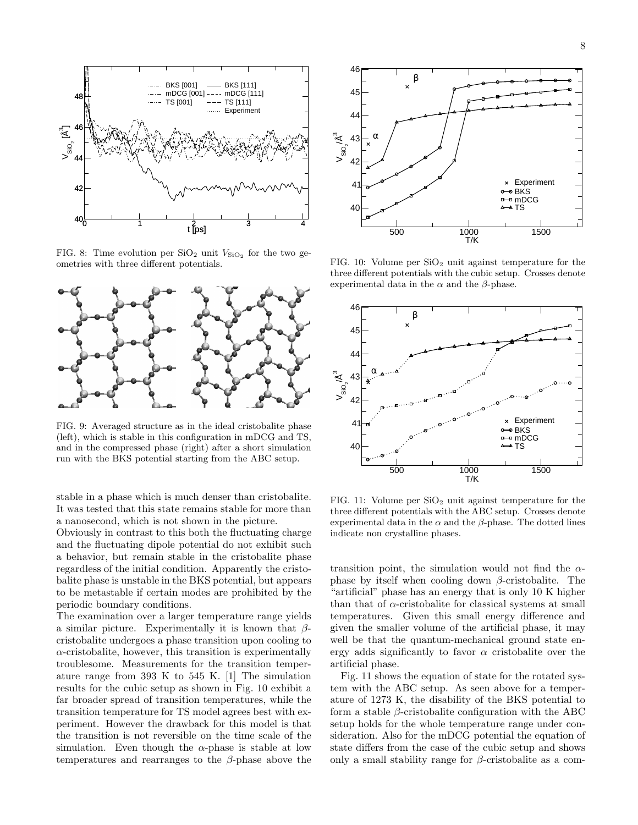

FIG. 8: Time evolution per  $\rm SiO_2$  unit  $V_{\rm SiO_2}$  for the two geometries with three different potentials.



FIG. 9: Averaged structure as in the ideal cristobalite phase (left), which is stable in this configuration in mDCG and TS, and in the compressed phase (right) after a short simulation run with the BKS potential starting from the ABC setup.

stable in a phase which is much denser than cristobalite. It was tested that this state remains stable for more than a nanosecond, which is not shown in the picture.

Obviously in contrast to this both the fluctuating charge and the fluctuating dipole potential do not exhibit such a behavior, but remain stable in the cristobalite phase regardless of the initial condition. Apparently the cristobalite phase is unstable in the BKS potential, but appears to be metastable if certain modes are prohibited by the periodic boundary conditions.

The examination over a larger temperature range yields a similar picture. Experimentally it is known that  $\beta$ cristobalite undergoes a phase transition upon cooling to  $\alpha$ -cristobalite, however, this transition is experimentally troublesome. Measurements for the transition temperature range from 393 K to 545 K. [1] The simulation results for the cubic setup as shown in Fig. 10 exhibit a far broader spread of transition temperatures, while the transition temperature for TS model agrees best with experiment. However the drawback for this model is that the transition is not reversible on the time scale of the simulation. Even though the  $\alpha$ -phase is stable at low temperatures and rearranges to the  $\beta$ -phase above the



FIG. 10: Volume per  $SiO<sub>2</sub>$  unit against temperature for the three different potentials with the cubic setup. Crosses denote experimental data in the  $\alpha$  and the  $\beta$ -phase.



FIG. 11: Volume per  $SiO<sub>2</sub>$  unit against temperature for the three different potentials with the ABC setup. Crosses denote experimental data in the  $\alpha$  and the  $\beta$ -phase. The dotted lines indicate non crystalline phases.

transition point, the simulation would not find the  $\alpha$ phase by itself when cooling down  $\beta$ -cristobalite. The "artificial" phase has an energy that is only 10 K higher than that of  $\alpha$ -cristobalite for classical systems at small temperatures. Given this small energy difference and given the smaller volume of the artificial phase, it may well be that the quantum-mechanical ground state energy adds significantly to favor  $\alpha$  cristobalite over the artificial phase.

Fig. 11 shows the equation of state for the rotated system with the ABC setup. As seen above for a temperature of 1273 K, the disability of the BKS potential to form a stable  $\beta$ -cristobalite configuration with the ABC setup holds for the whole temperature range under consideration. Also for the mDCG potential the equation of state differs from the case of the cubic setup and shows only a small stability range for  $\beta$ -cristobalite as a com-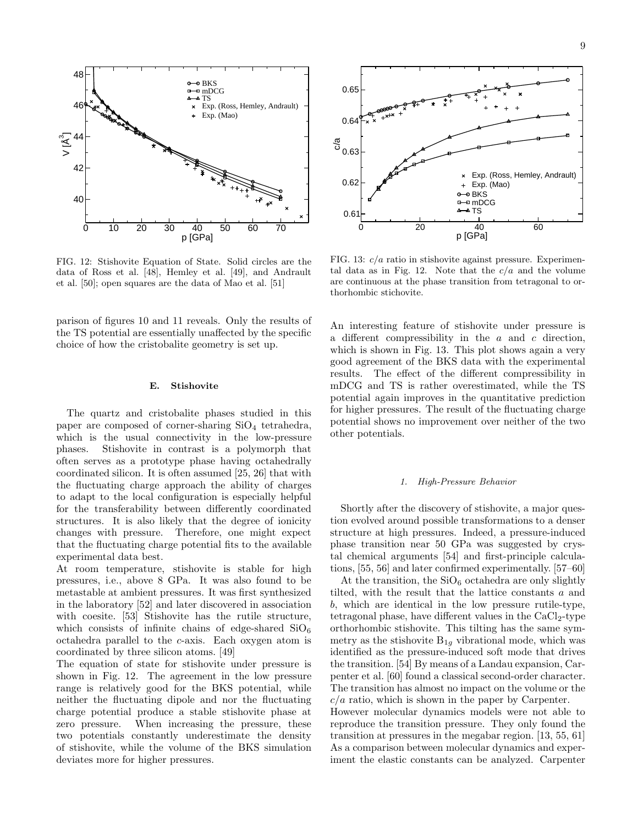

FIG. 12: Stishovite Equation of State. Solid circles are the data of Ross et al. [48], Hemley et al. [49], and Andrault et al. [50]; open squares are the data of Mao et al. [51]

parison of figures 10 and 11 reveals. Only the results of the TS potential are essentially unaffected by the specific choice of how the cristobalite geometry is set up.

#### E. Stishovite

The quartz and cristobalite phases studied in this paper are composed of corner-sharing SiO<sup>4</sup> tetrahedra, which is the usual connectivity in the low-pressure phases. Stishovite in contrast is a polymorph that often serves as a prototype phase having octahedrally coordinated silicon. It is often assumed [25, 26] that with the fluctuating charge approach the ability of charges to adapt to the local configuration is especially helpful for the transferability between differently coordinated structures. It is also likely that the degree of ionicity changes with pressure. Therefore, one might expect that the fluctuating charge potential fits to the available experimental data best.

At room temperature, stishovite is stable for high pressures, i.e., above 8 GPa. It was also found to be metastable at ambient pressures. It was first synthesized in the laboratory [52] and later discovered in association with coesite. [53] Stishovite has the rutile structure, which consists of infinite chains of edge-shared  $SiO<sub>6</sub>$ octahedra parallel to the c-axis. Each oxygen atom is coordinated by three silicon atoms. [49]

The equation of state for stishovite under pressure is shown in Fig. 12. The agreement in the low pressure range is relatively good for the BKS potential, while neither the fluctuating dipole and nor the fluctuating charge potential produce a stable stishovite phase at zero pressure. When increasing the pressure, these two potentials constantly underestimate the density of stishovite, while the volume of the BKS simulation deviates more for higher pressures.



FIG. 13:  $c/a$  ratio in stishovite against pressure. Experimental data as in Fig. 12. Note that the  $c/a$  and the volume are continuous at the phase transition from tetragonal to orthorhombic stichovite.

An interesting feature of stishovite under pressure is a different compressibility in the  $a$  and  $c$  direction, which is shown in Fig. 13. This plot shows again a very good agreement of the BKS data with the experimental results. The effect of the different compressibility in mDCG and TS is rather overestimated, while the TS potential again improves in the quantitative prediction for higher pressures. The result of the fluctuating charge potential shows no improvement over neither of the two other potentials.

### 1. High-Pressure Behavior

Shortly after the discovery of stishovite, a major question evolved around possible transformations to a denser structure at high pressures. Indeed, a pressure-induced phase transition near 50 GPa was suggested by crystal chemical arguments [54] and first-principle calculations, [55, 56] and later confirmed experimentally. [57–60]

At the transition, the  $SiO<sub>6</sub>$  octahedra are only slightly tilted, with the result that the lattice constants a and b, which are identical in the low pressure rutile-type, tetragonal phase, have different values in the  $CaCl<sub>2</sub>$ -type orthorhombic stishovite. This tilting has the same symmetry as the stishovite  $B_{1g}$  vibrational mode, which was identified as the pressure-induced soft mode that drives the transition. [54] By means of a Landau expansion, Carpenter et al. [60] found a classical second-order character. The transition has almost no impact on the volume or the  $c/a$  ratio, which is shown in the paper by Carpenter.

However molecular dynamics models were not able to reproduce the transition pressure. They only found the transition at pressures in the megabar region. [13, 55, 61] As a comparison between molecular dynamics and experiment the elastic constants can be analyzed. Carpenter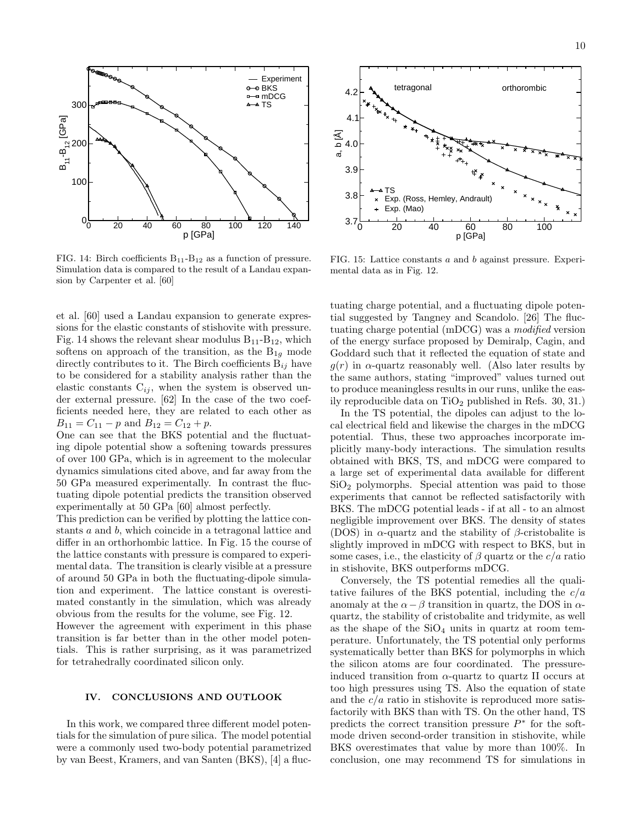

FIG. 14: Birch coefficients  $B_{11}-B_{12}$  as a function of pressure. Simulation data is compared to the result of a Landau expansion by Carpenter et al. [60]

et al. [60] used a Landau expansion to generate expressions for the elastic constants of stishovite with pressure. Fig. 14 shows the relevant shear modulus  $B_{11}$ - $B_{12}$ , which softens on approach of the transition, as the  $B_{1g}$  mode directly contributes to it. The Birch coefficients  $B_{ij}$  have to be considered for a stability analysis rather than the elastic constants  $C_{ij}$ , when the system is observed under external pressure. [62] In the case of the two coefficients needed here, they are related to each other as  $B_{11} = C_{11} - p$  and  $B_{12} = C_{12} + p$ .

One can see that the BKS potential and the fluctuating dipole potential show a softening towards pressures of over 100 GPa, which is in agreement to the molecular dynamics simulations cited above, and far away from the 50 GPa measured experimentally. In contrast the fluctuating dipole potential predicts the transition observed experimentally at 50 GPa [60] almost perfectly.

This prediction can be verified by plotting the lattice constants a and b, which coincide in a tetragonal lattice and differ in an orthorhombic lattice. In Fig. 15 the course of the lattice constants with pressure is compared to experimental data. The transition is clearly visible at a pressure of around 50 GPa in both the fluctuating-dipole simulation and experiment. The lattice constant is overestimated constantly in the simulation, which was already obvious from the results for the volume, see Fig. 12.

However the agreement with experiment in this phase transition is far better than in the other model potentials. This is rather surprising, as it was parametrized for tetrahedrally coordinated silicon only.

## IV. CONCLUSIONS AND OUTLOOK

In this work, we compared three different model potentials for the simulation of pure silica. The model potential were a commonly used two-body potential parametrized by van Beest, Kramers, and van Santen (BKS), [4] a fluc-



FIG. 15: Lattice constants a and b against pressure. Experimental data as in Fig. 12.

tuating charge potential, and a fluctuating dipole potential suggested by Tangney and Scandolo. [26] The fluctuating charge potential (mDCG) was a modified version of the energy surface proposed by Demiralp, Cagin, and Goddard such that it reflected the equation of state and  $q(r)$  in  $\alpha$ -quartz reasonably well. (Also later results by the same authors, stating "improved" values turned out to produce meaningless results in our runs, unlike the easily reproducible data on  $TiO<sub>2</sub>$  published in Refs. 30, 31.)

In the TS potential, the dipoles can adjust to the local electrical field and likewise the charges in the mDCG potential. Thus, these two approaches incorporate implicitly many-body interactions. The simulation results obtained with BKS, TS, and mDCG were compared to a large set of experimental data available for different  $SiO<sub>2</sub>$  polymorphs. Special attention was paid to those experiments that cannot be reflected satisfactorily with BKS. The mDCG potential leads - if at all - to an almost negligible improvement over BKS. The density of states (DOS) in  $\alpha$ -quartz and the stability of  $\beta$ -cristobalite is slightly improved in mDCG with respect to BKS, but in some cases, i.e., the elasticity of  $\beta$  quartz or the  $c/a$  ratio in stishovite, BKS outperforms mDCG.

Conversely, the TS potential remedies all the qualitative failures of the BKS potential, including the  $c/a$ anomaly at the  $\alpha-\beta$  transition in quartz, the DOS in  $\alpha$ quartz, the stability of cristobalite and tridymite, as well as the shape of the  $SiO<sub>4</sub>$  units in quartz at room temperature. Unfortunately, the TS potential only performs systematically better than BKS for polymorphs in which the silicon atoms are four coordinated. The pressureinduced transition from  $\alpha$ -quartz to quartz II occurs at too high pressures using TS. Also the equation of state and the  $c/a$  ratio in stishovite is reproduced more satisfactorily with BKS than with TS. On the other hand, TS predicts the correct transition pressure  $P^*$  for the softmode driven second-order transition in stishovite, while BKS overestimates that value by more than 100%. In conclusion, one may recommend TS for simulations in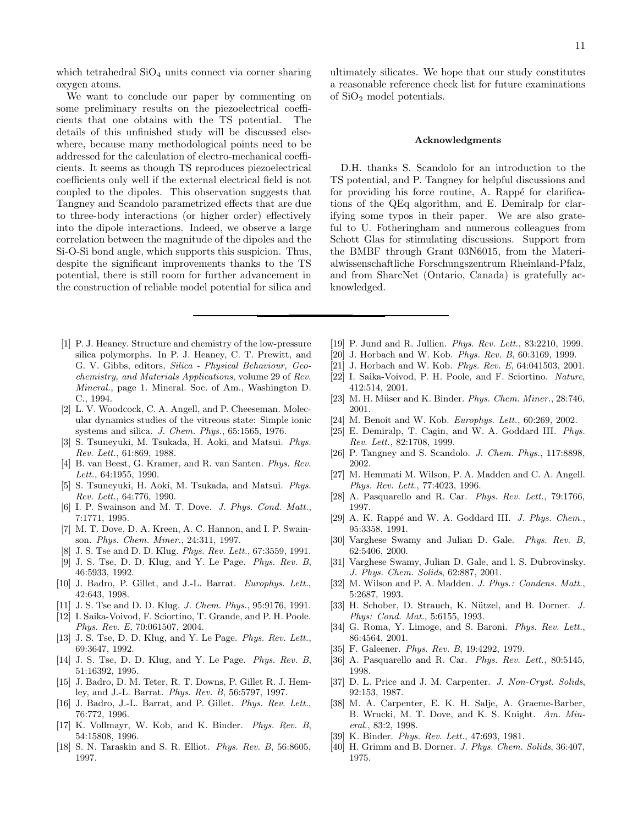which tetrahedral  $SiO<sub>4</sub>$  units connect via corner sharing oxygen atoms.

We want to conclude our paper by commenting on some preliminary results on the piezoelectrical coefficients that one obtains with the TS potential. The details of this unfinished study will be discussed elsewhere, because many methodological points need to be addressed for the calculation of electro-mechanical coefficients. It seems as though TS reproduces piezoelectrical coefficients only well if the external electrical field is not coupled to the dipoles. This observation suggests that Tangney and Scandolo parametrized effects that are due to three-body interactions (or higher order) effectively into the dipole interactions. Indeed, we observe a large correlation between the magnitude of the dipoles and the Si-O-Si bond angle, which supports this suspicion. Thus, despite the significant improvements thanks to the TS potential, there is still room for further advancement in the construction of reliable model potential for silica and

- [1] P. J. Heaney. Structure and chemistry of the low-pressure silica polymorphs. In P. J. Heaney, C. T. Prewitt, and G. V. Gibbs, editors, Silica - Physical Behaviour, Geochemistry, and Materials Applications, volume 29 of Rev. Mineral., page 1. Mineral. Soc. of Am., Washington D. C., 1994.
- [2] L. V. Woodcock, C. A. Angell, and P. Cheeseman. Molecular dynamics studies of the vitreous state: Simple ionic systems and silica. J. Chem. Phys., 65:1565, 1976.
- [3] S. Tsuneyuki, M. Tsukada, H. Aoki, and Matsui. Phys. Rev. Lett., 61:869, 1988.
- [4] B. van Beest, G. Kramer, and R. van Santen. Phys. Rev. Lett., 64:1955, 1990.
- [5] S. Tsuneyuki, H. Aoki, M. Tsukada, and Matsui. Phys. Rev. Lett., 64:776, 1990.
- [6] I. P. Swainson and M. T. Dove. J. Phys. Cond. Matt., 7:1771, 1995.
- [7] M. T. Dove, D. A. Kreen, A. C. Hannon, and I. P. Swainson. Phys. Chem. Miner., 24:311, 1997.
- [8] J. S. Tse and D. D. Klug. Phys. Rev. Lett., 67:3559, 1991.
- [9] J. S. Tse, D. D. Klug, and Y. Le Page. Phys. Rev. B, 46:5933, 1992.
- [10] J. Badro, P. Gillet, and J.-L. Barrat. Europhys. Lett., 42:643, 1998.
- [11] J. S. Tse and D. D. Klug. J. Chem. Phys., 95:9176, 1991.
- [12] I. Saika-Voivod, F. Sciortino, T. Grande, and P. H. Poole. Phys. Rev. E, 70:061507, 2004.
- [13] J. S. Tse, D. D. Klug, and Y. Le Page. *Phys. Rev. Lett.*, 69:3647, 1992.
- [14] J. S. Tse, D. D. Klug, and Y. Le Page. *Phys. Rev. B*, 51:16392, 1995.
- [15] J. Badro, D. M. Teter, R. T. Downs, P. Gillet R. J. Hemley, and J.-L. Barrat. Phys. Rev. B, 56:5797, 1997.
- [16] J. Badro, J.-L. Barrat, and P. Gillet. Phys. Rev. Lett., 76:772, 1996.
- [17] K. Vollmayr, W. Kob, and K. Binder. Phys. Rev. B, 54:15808, 1996.
- [18] S. N. Taraskin and S. R. Elliot. Phys. Rev. B, 56:8605, 1997.

ultimately silicates. We hope that our study constitutes a reasonable reference check list for future examinations of SiO<sup>2</sup> model potentials.

### Acknowledgments

D.H. thanks S. Scandolo for an introduction to the TS potential, and P. Tangney for helpful discussions and for providing his force routine, A. Rappé for clarifications of the QEq algorithm, and E. Demiralp for clarifying some typos in their paper. We are also grateful to U. Fotheringham and numerous colleagues from Schott Glas for stimulating discussions. Support from the BMBF through Grant 03N6015, from the Materialwissenschaftliche Forschungszentrum Rheinland-Pfalz, and from SharcNet (Ontario, Canada) is gratefully acknowledged.

- [19] P. Jund and R. Jullien. Phys. Rev. Lett., 83:2210, 1999.
- [20] J. Horbach and W. Kob. Phys. Rev. B, 60:3169, 1999.
- [21] J. Horbach and W. Kob. Phys. Rev. E, 64:041503, 2001.
- [22] I. Saika-Voivod, P. H. Poole, and F. Sciortino. Nature, 412:514, 2001.
- [23] M. H. Müser and K. Binder. Phys. Chem. Miner.,  $28:746$ , 2001.
- [24] M. Benoit and W. Kob. *Europhys. Lett.*, 60:269, 2002.
- [25] E. Demiralp, T. Cagin, and W. A. Goddard III. Phys. Rev. Lett., 82:1708, 1999.
- [26] P. Tangney and S. Scandolo. J. Chem. Phys., 117:8898, 2002.
- [27] M. Hemmati M. Wilson, P. A. Madden and C. A. Angell. Phys. Rev. Lett., 77:4023, 1996.
- [28] A. Pasquarello and R. Car. Phys. Rev. Lett., 79:1766, 1997.
- [29] A. K. Rappé and W. A. Goddard III. J. Phys. Chem., 95:3358, 1991.
- [30] Varghese Swamy and Julian D. Gale. Phys. Rev. B, 62:5406, 2000.
- [31] Varghese Swamy, Julian D. Gale, and l. S. Dubrovinsky. J. Phys. Chem. Solids, 62:887, 2001.
- [32] M. Wilson and P. A. Madden. J. Phys.: Condens. Matt., 5:2687, 1993.
- [33] H. Schober, D. Strauch, K. Nützel, and B. Dorner. J. Phys: Cond. Mat., 5:6155, 1993.
- [34] G. Roma, Y. Limoge, and S. Baroni. *Phys. Rev. Lett.*, 86:4564, 2001.
- [35] F. Galeener. Phys. Rev. B, 19:4292, 1979.
- [36] A. Pasquarello and R. Car. *Phys. Rev. Lett.*, 80:5145, 1998.
- [37] D. L. Price and J. M. Carpenter. J. Non-Cryst. Solids, 92:153, 1987.
- [38] M. A. Carpenter, E. K. H. Salje, A. Graeme-Barber, B. Wrucki, M. T. Dove, and K. S. Knight. Am. Mineral., 83:2, 1998.
- [39] K. Binder. Phys. Rev. Lett., 47:693, 1981.
- [40] H. Grimm and B. Dorner. J. Phys. Chem. Solids, 36:407, 1975.